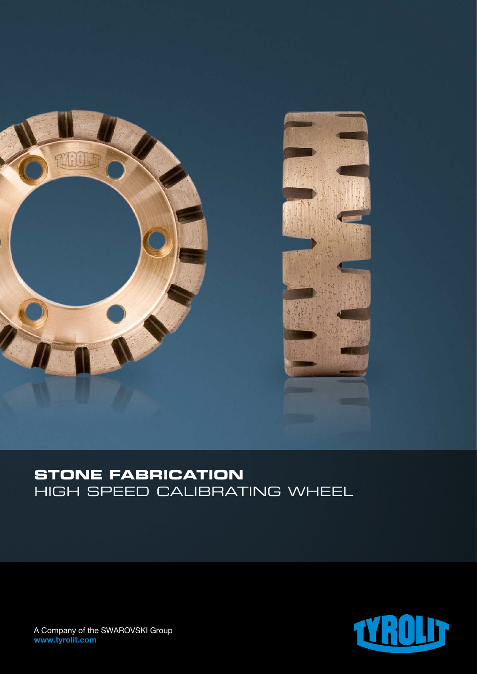

# **STONE FABRICATION** HIGH SPEED CALIBRATING WHEEL



A Company of the SWAROVSKI Group www.tyrolit.com